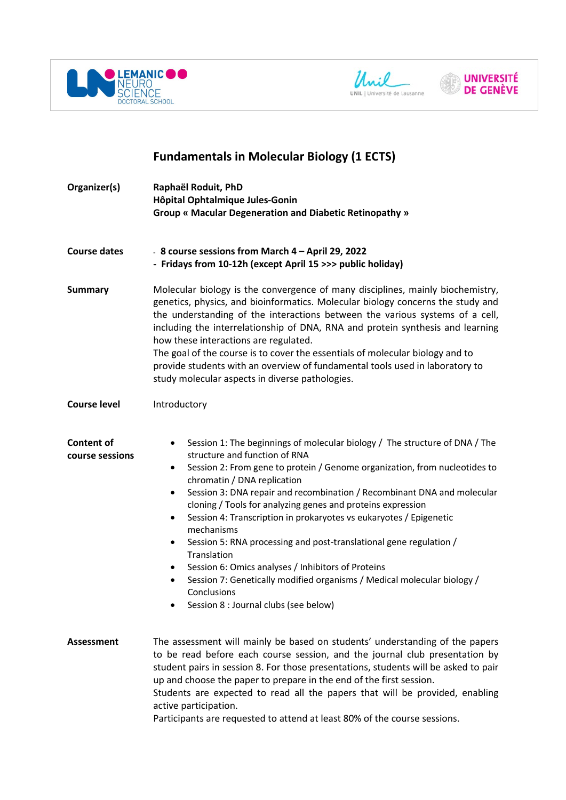





## **Fundamentals in Molecular Biology (1 ECTS)**

| Organizer(s)                         | Raphaël Roduit, PhD<br>Hôpital Ophtalmique Jules-Gonin<br>Group « Macular Degeneration and Diabetic Retinopathy »                                                                                                                                                                                                                                                                                                                                                                                                                                                                                                                                                                                                                                                        |
|--------------------------------------|--------------------------------------------------------------------------------------------------------------------------------------------------------------------------------------------------------------------------------------------------------------------------------------------------------------------------------------------------------------------------------------------------------------------------------------------------------------------------------------------------------------------------------------------------------------------------------------------------------------------------------------------------------------------------------------------------------------------------------------------------------------------------|
| <b>Course dates</b>                  | - 8 course sessions from March 4 - April 29, 2022<br>- Fridays from 10-12h (except April 15 >>> public holiday)                                                                                                                                                                                                                                                                                                                                                                                                                                                                                                                                                                                                                                                          |
| <b>Summary</b>                       | Molecular biology is the convergence of many disciplines, mainly biochemistry,<br>genetics, physics, and bioinformatics. Molecular biology concerns the study and<br>the understanding of the interactions between the various systems of a cell,<br>including the interrelationship of DNA, RNA and protein synthesis and learning<br>how these interactions are regulated.<br>The goal of the course is to cover the essentials of molecular biology and to<br>provide students with an overview of fundamental tools used in laboratory to<br>study molecular aspects in diverse pathologies.                                                                                                                                                                         |
| <b>Course level</b>                  | Introductory                                                                                                                                                                                                                                                                                                                                                                                                                                                                                                                                                                                                                                                                                                                                                             |
| <b>Content of</b><br>course sessions | Session 1: The beginnings of molecular biology / The structure of DNA / The<br>٠<br>structure and function of RNA<br>Session 2: From gene to protein / Genome organization, from nucleotides to<br>٠<br>chromatin / DNA replication<br>Session 3: DNA repair and recombination / Recombinant DNA and molecular<br>٠<br>cloning / Tools for analyzing genes and proteins expression<br>Session 4: Transcription in prokaryotes vs eukaryotes / Epigenetic<br>٠<br>mechanisms<br>Session 5: RNA processing and post-translational gene regulation /<br>٠<br>Translation<br>Session 6: Omics analyses / Inhibitors of Proteins<br>٠<br>Session 7: Genetically modified organisms / Medical molecular biology /<br>٠<br>Conclusions<br>Session 8 : Journal clubs (see below) |
| <b>Assessment</b>                    | The assessment will mainly be based on students' understanding of the papers<br>to be read before each course session, and the journal club presentation by<br>student pairs in session 8. For those presentations, students will be asked to pair<br>up and choose the paper to prepare in the end of the first session.<br>Students are expected to read all the papers that will be provided, enabling<br>active participation.<br>Participants are requested to attend at least 80% of the course sessions.                                                                                                                                                                                                                                                          |